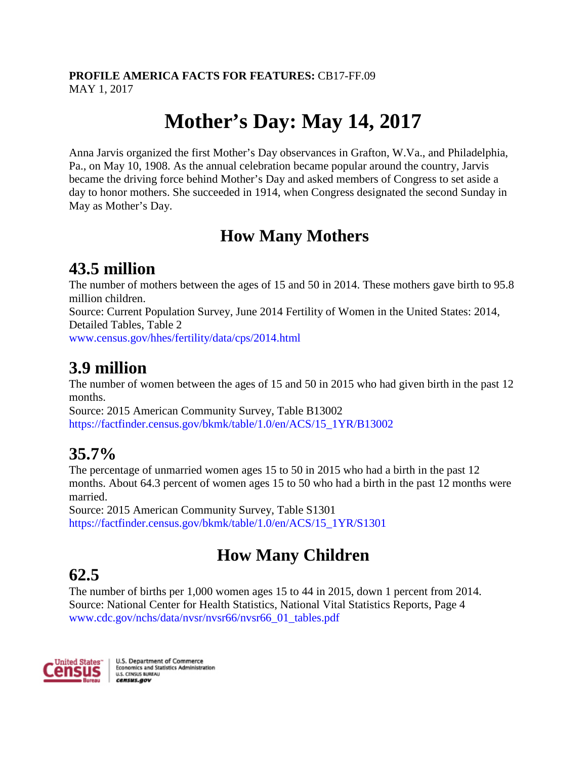#### **PROFILE AMERICA FACTS FOR FEATURES:** CB17-FF.09 MAY 1, 2017

# **Mother's Day: May 14, 2017**

Anna Jarvis organized the first Mother's Day observances in Grafton, W.Va., and Philadelphia, Pa., on May 10, 1908. As the annual celebration became popular around the country, Jarvis became the driving force behind Mother's Day and asked members of Congress to set aside a day to honor mothers. She succeeded in 1914, when Congress designated the second Sunday in May as Mother's Day.

#### **How Many Mothers**

#### **43.5 million**

The number of mothers between the ages of 15 and 50 in 2014. These mothers gave birth to 95.8 million children.

Source: Current Population Survey, June 2014 Fertility of Women in the United States: 2014, Detailed Tables, Table 2

[www.census.gov/hhes/fertility/data/cps/2014.html](http://www.census.gov/hhes/fertility/data/cps/2014.html)

#### **3.9 million**

The number of women between the ages of 15 and 50 in 2015 who had given birth in the past 12 months.

Source: 2015 American Community Survey, Table B13002 [https://factfinder.census.gov/bkmk/table/1.0/en/ACS/15\\_1YR/B13002](https://factfinder.census.gov/bkmk/table/1.0/en/ACS/15_1YR/B13002)

### **35.7%**

The percentage of unmarried women ages 15 to 50 in 2015 who had a birth in the past 12 months. About 64.3 percent of women ages 15 to 50 who had a birth in the past 12 months were married.

Source: 2015 American Community Survey, Table S1301 [https://factfinder.census.gov/bkmk/table/1.0/en/ACS/15\\_1YR/S1301](https://factfinder.census.gov/bkmk/table/1.0/en/ACS/15_1YR/S1301)

### **How Many Children**

## **62.5**

The number of births per 1,000 women ages 15 to 44 in 2015, down 1 percent from 2014. Source: National Center for Health Statistics, National Vital Statistics Reports, Page 4 [www.cdc.gov/nchs/data/nvsr/nvsr66/nvsr66\\_01\\_tables.pdf](https://www.cdc.gov/nchs/data/nvsr/nvsr66/nvsr66_01_tables.pdf)

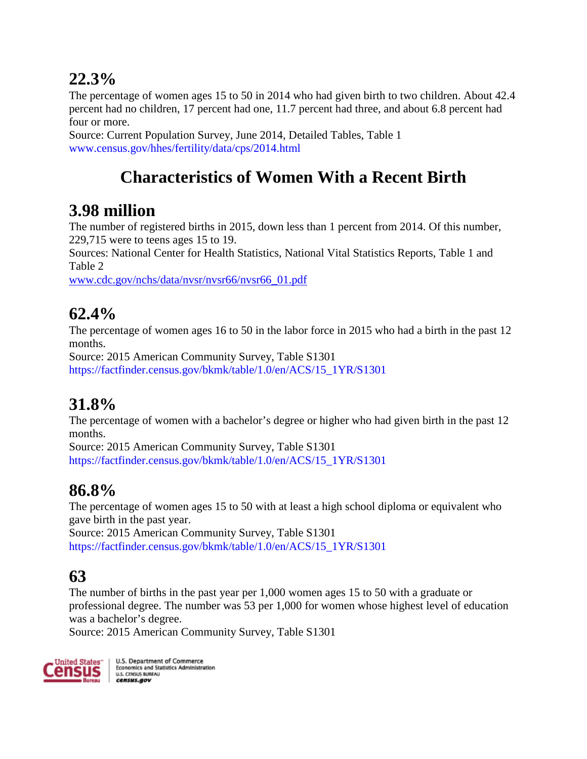#### **22.3%**

The percentage of women ages 15 to 50 in 2014 who had given birth to two children. About 42.4 percent had no children, 17 percent had one, 11.7 percent had three, and about 6.8 percent had four or more.

Source: Current Population Survey, June 2014, Detailed Tables, Table 1 [www.census.gov/hhes/fertility/data/cps/2014.html](http://www.census.gov/hhes/fertility/data/cps/2014.html)

### **Characteristics of Women With a Recent Birth**

### **3.98 million**

The number of registered births in 2015, down less than 1 percent from 2014. Of this number, 229,715 were to teens ages 15 to 19.

Sources: National Center for Health Statistics, National Vital Statistics Reports, Table 1 and Table 2

[www.cdc.gov/nchs/data/nvsr/nvsr66/nvsr66\\_01.pdf](https://www.cdc.gov/nchs/data/nvsr/nvsr66/nvsr66_01.pdf)

### **62.4%**

The percentage of women ages 16 to 50 in the labor force in 2015 who had a birth in the past 12 months.

Source: 2015 American Community Survey, Table S1301 [https://factfinder.census.gov/bkmk/table/1.0/en/ACS/15\\_1YR/S1301](https://factfinder.census.gov/bkmk/table/1.0/en/ACS/15_1YR/S1301)

#### **31.8%**

The percentage of women with a bachelor's degree or higher who had given birth in the past 12 months.

Source: 2015 American Community Survey, Table S1301 [https://factfinder.census.gov/bkmk/table/1.0/en/ACS/15\\_1YR/S1301](https://factfinder.census.gov/bkmk/table/1.0/en/ACS/15_1YR/S1301)

### **86.8%**

The percentage of women ages 15 to 50 with at least a high school diploma or equivalent who gave birth in the past year.

Source: 2015 American Community Survey, Table S1301 [https://factfinder.census.gov/bkmk/table/1.0/en/ACS/15\\_1YR/S1301](https://factfinder.census.gov/bkmk/table/1.0/en/ACS/15_1YR/S1301)

### **63**

The number of births in the past year per 1,000 women ages 15 to 50 with a graduate or professional degree. The number was 53 per 1,000 for women whose highest level of education was a bachelor's degree.

Source: 2015 American Community Survey, Table S1301

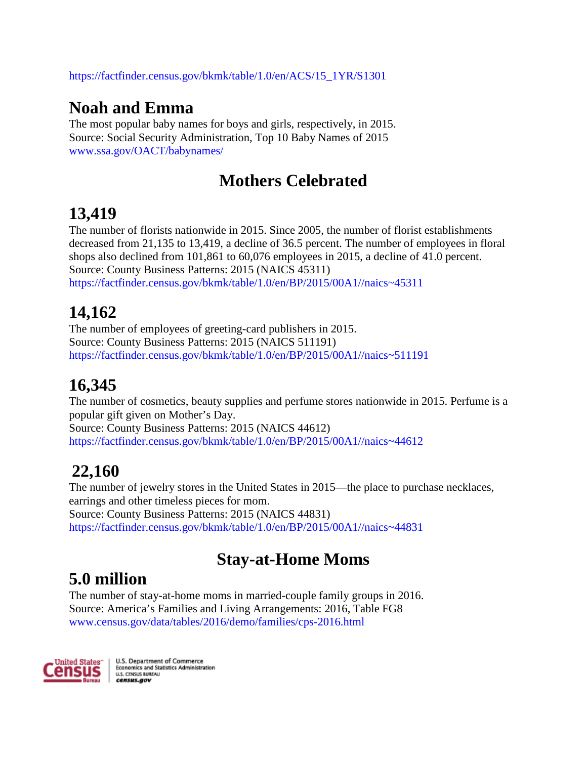[https://factfinder.census.gov/bkmk/table/1.0/en/ACS/15\\_1YR/S1301](https://factfinder.census.gov/bkmk/table/1.0/en/ACS/15_1YR/S1301)

#### **Noah and Emma**

The most popular baby names for boys and girls, respectively, in 2015. Source: Social Security Administration, Top 10 Baby Names of 2015 [www.ssa.gov/OACT/babynames/](http://www.ssa.gov/OACT/babynames/)

#### **Mothers Celebrated**

### **13,419**

The number of florists nationwide in 2015. Since 2005, the number of florist establishments decreased from 21,135 to 13,419, a decline of 36.5 percent. The number of employees in floral shops also declined from 101,861 to 60,076 employees in 2015, a decline of 41.0 percent. Source: County Business Patterns: 2015 (NAICS 45311) [https://factfinder.census.gov/bkmk/table/1.0/en/BP/2015/00A1//naics~45311](https://factfinder.census.gov/bkmk/table/1.0/en/BP/2015/00A1/naics%7E45311)

### **14,162**

The number of employees of greeting-card publishers in 2015. Source: County Business Patterns: 2015 (NAICS 511191) [https://factfinder.census.gov/bkmk/table/1.0/en/BP/2015/00A1//naics~511191](https://factfinder.census.gov/bkmk/table/1.0/en/BP/2015/00A1/naics%7E511191)

### **16,345**

The number of cosmetics, beauty supplies and perfume stores nationwide in 2015. Perfume is a popular gift given on Mother's Day. Source: County Business Patterns: 2015 (NAICS 44612) [https://factfinder.census.gov/bkmk/table/1.0/en/BP/2015/00A1//naics~44612](https://factfinder.census.gov/bkmk/table/1.0/en/BP/2015/00A1/naics%7E44612)

### **22,160**

The number of jewelry stores in the United States in 2015—the place to purchase necklaces, earrings and other timeless pieces for mom. Source: County Business Patterns: 2015 (NAICS 44831) [https://factfinder.census.gov/bkmk/table/1.0/en/BP/2015/00A1//naics~44831](https://factfinder.census.gov/bkmk/table/1.0/en/BP/2015/00A1/naics%7E44831)

### **Stay-at-Home Moms**

### **5.0 million**

The number of stay-at-home moms in married-couple family groups in 2016. Source: America's Families and Living Arrangements: 2016, Table FG8 [www.census.gov/data/tables/2016/demo/families/cps-2016.html](https://www.census.gov/data/tables/2016/demo/families/cps-2016.html)

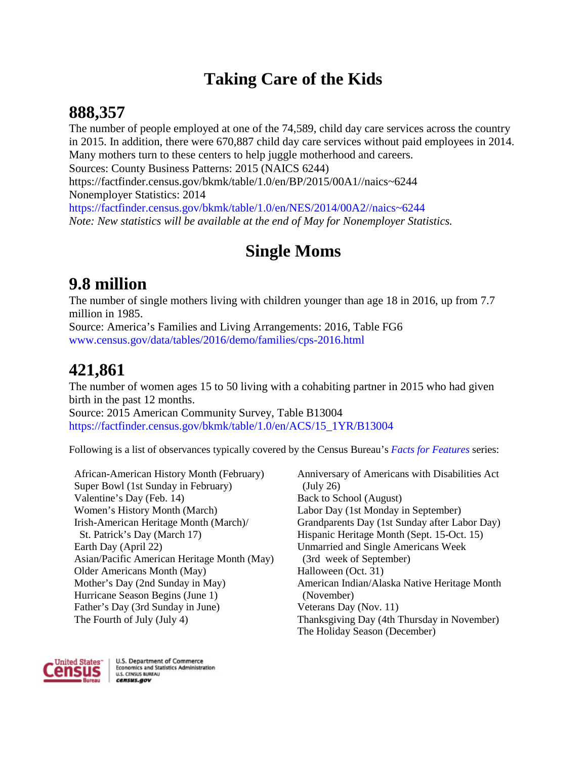#### **Taking Care of the Kids**

#### **888,357**

The number of people employed at one of the 74,589, child day care services across the country in 2015. In addition, there were 670,887 child day care services without paid employees in 2014. Many mothers turn to these centers to help juggle motherhood and careers. Sources: County Business Patterns: 2015 (NAICS 6244) https://factfinder.census.gov/bkmk/table/1.0/en/BP/2015/00A1//naics~6244 Nonemployer Statistics: 2014 [https://factfinder.census.gov/bkmk/table/1.0/en/NES/2014/00A2//naics~6244](https://factfinder.census.gov/bkmk/table/1.0/en/NES/2014/00A2/naics%7E6244) *Note: New statistics will be available at the end of May for Nonemployer Statistics.*

### **Single Moms**

#### **9.8 million**

The number of single mothers living with children younger than age 18 in 2016, up from 7.7 million in 1985.

Source: America's Families and Living Arrangements: 2016, Table FG6 [www.census.gov/data/tables/2016/demo/families/cps-2016.html](https://www.census.gov/data/tables/2016/demo/families/cps-2016.html)

#### **421,861**

The number of women ages 15 to 50 living with a cohabiting partner in 2015 who had given birth in the past 12 months.

Source: 2015 American Community Survey, Table B13004 [https://factfinder.census.gov/bkmk/table/1.0/en/ACS/15\\_1YR/B13004](https://factfinder.census.gov/bkmk/table/1.0/en/ACS/15_1YR/B13004)

Following is a list of observances typically covered by the Census Bureau's *[Facts for Features](https://www.census.gov/newsroom/facts-for-features.html)* series:

African-American History Month (February) Super Bowl (1st Sunday in February) Valentine's Day (Feb. 14) Women's History Month (March) Irish-American Heritage Month (March)/ St. Patrick's Day (March 17) Earth Day (April 22) Asian/Pacific American Heritage Month (May) Older Americans Month (May) Mother's Day (2nd Sunday in May) Hurricane Season Begins (June 1) Father's Day (3rd Sunday in June) The Fourth of July (July 4)

Anniversary of Americans with Disabilities Act (July 26) Back to School (August) Labor Day (1st Monday in September) Grandparents Day (1st Sunday after Labor Day) Hispanic Heritage Month (Sept. 15-Oct. 15) Unmarried and Single Americans Week (3rd week of September) Halloween (Oct. 31) American Indian/Alaska Native Heritage Month (November) Veterans Day (Nov. 11) Thanksgiving Day (4th Thursday in November) The Holiday Season (December)